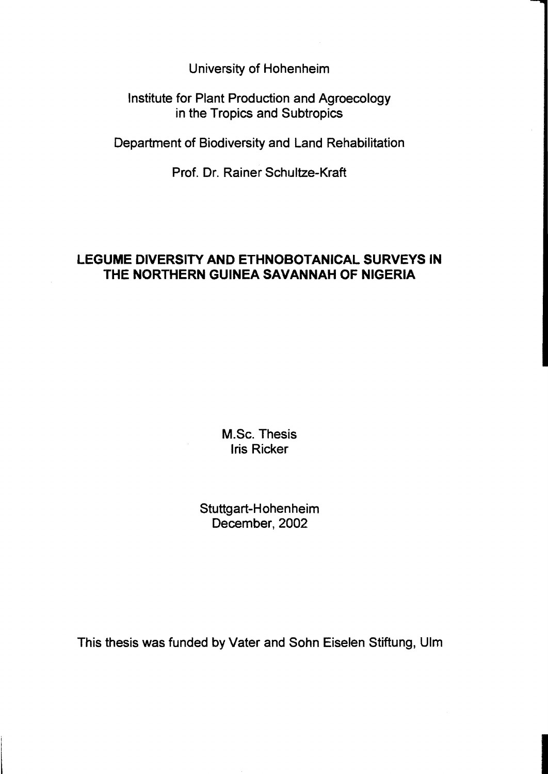University of Hohenheim

Institute for Plant Production and Agroecology in the Tropics and Subtropics

Department of Biodiversity and Land Rehabilitation

Prof. Dr. Rainer Schultze-Kraft

## **LEGUME DIVERSITY AND ETHNOBOTANICAL SURVEYS IN THE NORTHERN GUINEA SAVANNAH OF NIGERIA**

M.Sc. Thesis Iris Ricker

Stuttgart-Hohenheim December, 2002

This thesis was funded by Vater and Sohn Eiselen Stiftung, Ulm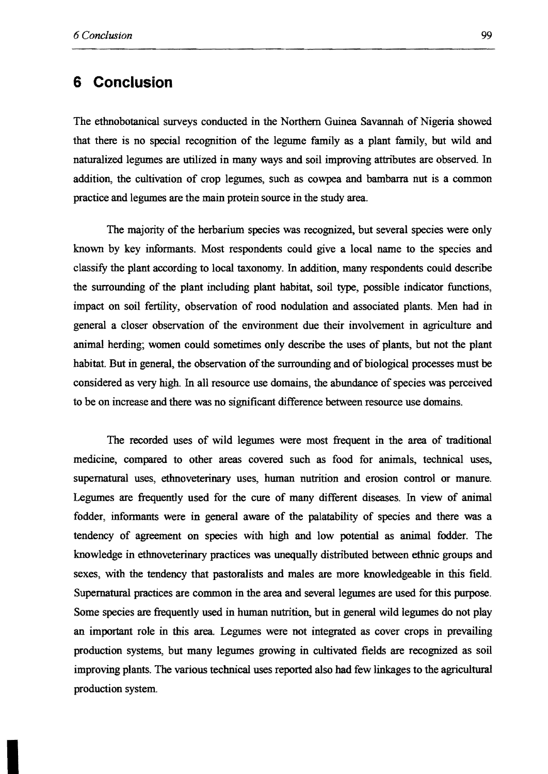### **6 Conclusion**

The ethnobotanical surveys eonducted in the Northem Guinea Savannah of Nigeria showed that there is no special recognition of the legume family as a plant family, but wild and naturalized legumes are utilized in many ways and soil improving attributes are observed. In addition, the eultivation of erop legumes, sueh as cowpea and bambarra nut is a eommon practiee and legumes are the main protein souree in the study area.

The majority of the herbarium species was recognized, but several species were only known by key informants. Most respondents could give a Ioeal name to the speeies and elassify the plant according to loeal taxonomy. In addition, many respondents eould deseribe the surrounding of the plant including plant habitat, soil type, possible indicator functions, impact on soil fertility, observation of rood nodulation and assoeiated plants. Men had in general a eloser observation of the environment due their involvement in agrieulture and animal herding; women eould sometimes only deseribe the uses of plants, but not the plant habitat. But in general, the observation of the surrounding and of biological processes must be eonsidered as very high. In all resouree use domains, the abundance of speeies was pereeived to be on inerease and there was no signifieant differenee between resouree use domains.

The recorded uses of wild Iegumes were most frequent in the area of traditional medicine, compared to other areas covered such as food for animals, technical uses, supernatural uses, ethnoveterinary uses, human nutrition and erosion eontrol or manure. Legumes are frequently used for the eure of many different diseases. In view of animal fodder, informants were in general aware of the palatability of species and there was a tendency of agreement on species with high and low potential as animal fodder. The knowiedge in ethnoveterinary practices was unequally distributed between ethnic groups and sexes, with the tendency that pastoralists and males are more knowledgeable in this field. Supernatural practices are common in the area and several legumes are used for this purpose. Some species are frequently used in human nutrition, but in general wild legumes do not play an important role in this area. Legumes were not integrated as cover erops in prevailing production systems, but many legumes growing in cultivated fields are recognized as soll improving plants. The various technical uses reported also bad few Iinkages to the agrieultural production system.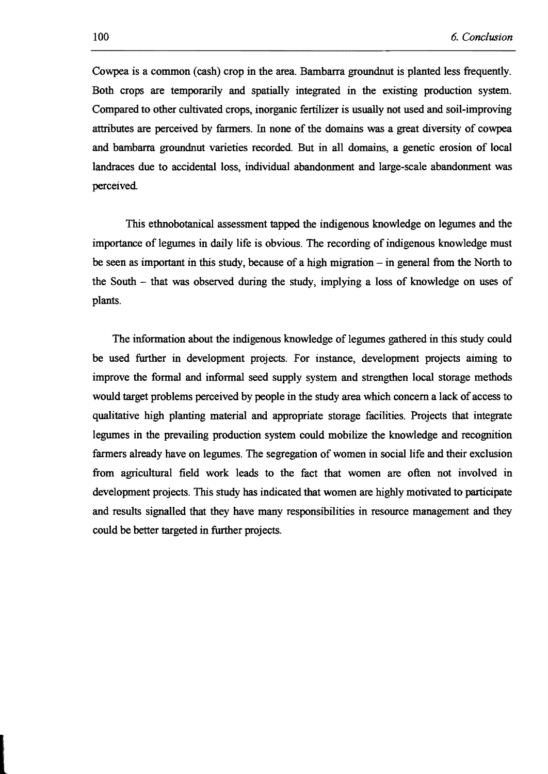Cowpea is a common (cash) crop in the area. Bambarra groundnut is planted less frequently. Both crops are temporarily and spatially integrated in the existing production system. Compared to other cultivated crops, inorganic fertilizer is usually not used and soil.improving attributes are perceived by farmers. In none of the domains was a great diversity of cowpea and bambarra groundnut varieties recorded. But in all domains, a genetic erosion of local landraces due to accidental loss, individual abandonment and large·scale abandonment was perceived

This ethnobotanical assessment tapped the indigenous knowledge on legumes and the importance of legumes in daily life is obvious. The recording of indigenous knowledge must be seen as important in this study, because of a high migration – in general from the North to the South  $-$  that was observed during the study, implying a loss of knowledge on uses of plants.

The information about the indigenous knowledge of legumes gathered in this study could be used further in development projects. For instance, development projects aiming to improve the formal and informal seed supply system and strengthen local storage methods would target problems perceived by people in the study area which concern a lack of access to qualitative high planting material and appropriate storage facilities. Projects that integrate legumes in the prevailing production system could mobilize the knowledge and recognition farmers already have on legumes. The segregation of women in social life and their exclusion from agricultural field work leads to the fact that women are often not involved in development projects. This study has indicated that women are highly motivated to participate and results signalIed that they have many responsibilities in resource management and they could be better targeted in further projects.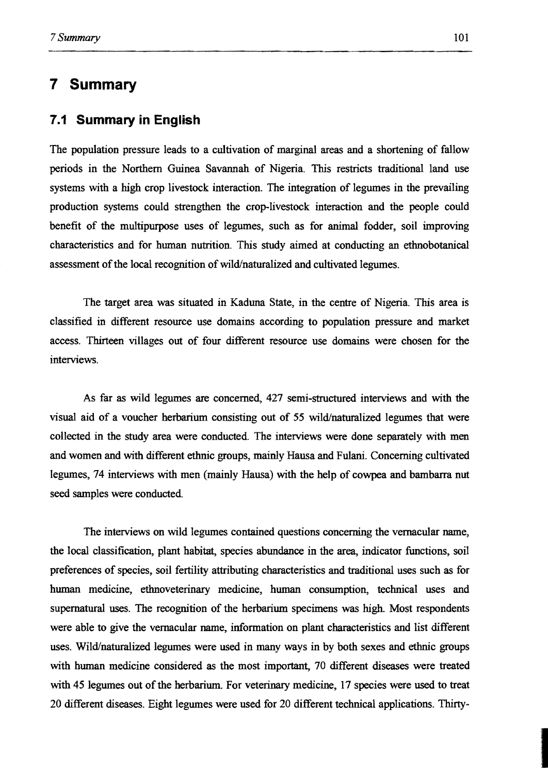# **7 Summary**

#### **7.1 Summary in English**

The population pressure leads to a cultivation of marginal areas and a shortening of fallow periods in the Northem Guinea Savannah of Nigeria. This restricts traditional land use systems with a high crop livestock interaction. The integration of legumes in the prevailing production systems could strengthen the crop-livestock interaction and the people could benefit of the multipurpose uses of legumes, such as for animal fodder, soil improving characteristics and for human nutrition. This study aimed at conducting an ethnobotanical assessment of the local recognition of wild/naturalized and cultivated legumes.

The target area was situated in Kaduna State, in the centre of Nigeria. This area is classified in different resource use domains according to population pressure and market access. Thirteen villages out of four different resource use domains were chosen for the interviews.

AB far as wild legumes are concemed, 427 semi-structured interviews and with the visual aid of a voucher herbarium consisting out of 55 wild/naturalized legumes that were collected in the study area were conducted. The interviews were done separately with men and women and with different ethnic groups, mainly Hausa and Fulani. Conceming cultivated legumes, 74 interviews with men (mainly Hausa) with the help of cowpea and bambarra nut seed sampies were conducted.

The interviews on wild legumes contained questions conceming the vemacular name, the local classification, plant habitat, species abundance in the area, indicator functions, soil preferences of species, soil fertility attributing characteristics and traditional uses such as for human medicine, ethnoveterinary medicine, human consumption, technical uses and supernatural uses. The recognition of the herbarium specimens was high. Most respondents were able to give the vernacular name, information on plant characteristics and list different uses. Wild/naturalized legumes were used in many ways in by both sexes and ethnic groups with human medicine considered as the most important, 70 different diseases were treated with 45 legumes out of the herbarium. For veterinary medicine, 17 species were used to treat 20 different diseases. Eight legumes were used for 20 different technical applications. Thirty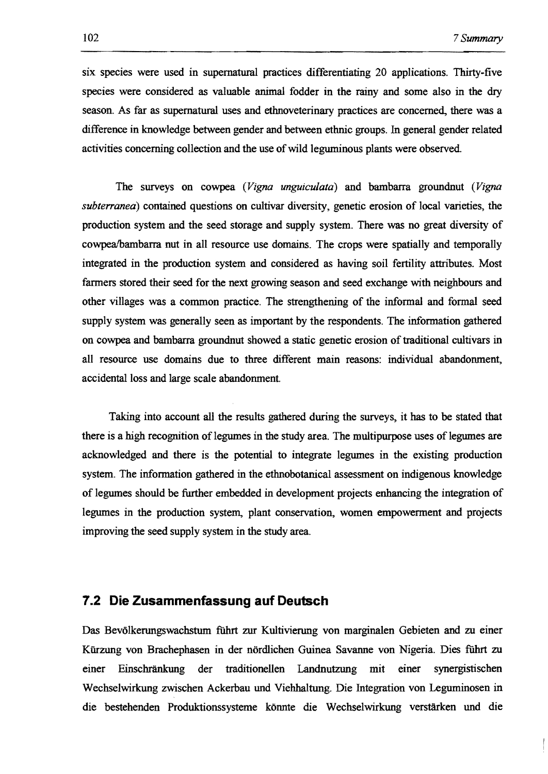six species were used in supematural practices differentiating 20 applications. Thirty-five species were considered as valuable anima1 fodder in the rainy and some also in the dry season. As far as supematural uses and ethnoveterinary practices are concemed, there was a difference in knowledge between gender and between ethnic groups. In general gender related activities conceming collection and the use of wild leguminous plants were observed.

The surveys on cowpea *(Vigna unguiculata)* and bambarra groundnut *(Vigna subterranea)* contained questions on cultivar diversity, genetic erosion of local varieties, the production system and the seed storage and supply system. There was no great diversity of cowpea/bambarra nut in all resource use domains. The crops were spatially and temporally integrated in the production system and considered as having soil fertility attributes. Most farmers stored their seed for the next growing season and seed exchange with neighbours and other villages was a common practice. The strengthening of the informal and formal seed supply system was generally seen as important by the respondents. The information gathered on cowpea and bambarra groundnut showed a static genetic erosion of traditional cultivars in all resource use domains due to three different main reasons: individual abandonment, accidental loss and large scale abandonment.

Taking into account all the results gathered during the surveys, it has to be stated that there is a high recognition of legumes in the study area. The multipurpose uses of legumes are acknowledged and there is the potential to integrate legumes in the existing production system. The information gathered in the ethnobotanical assessment on indigenous knowledge of legumes should be further embedded in development projects enhancing the integration of legumes in the production system, plant conservation, women empowerment and projects improving the seed supply system in the studyarea.

#### **7.2 Die Zusammenfassung auf Deutsch**

Das Bevölkerungswachstum führt zur Kultivierung von marginalen Gebieten and zu einer Kürzung von Brachephasen in der nördlichen Guinea Savanne von Nigeria. Dies führt zu einer Einschränkung der traditionellen Landnutzung mit einer synergistischen Wechselwirkung zwischen Ackerbau und Viehhaltung. Die Integration von Leguminosen in die bestehenden Produktionssysteme könnte die Wechselwirkung verstärken und die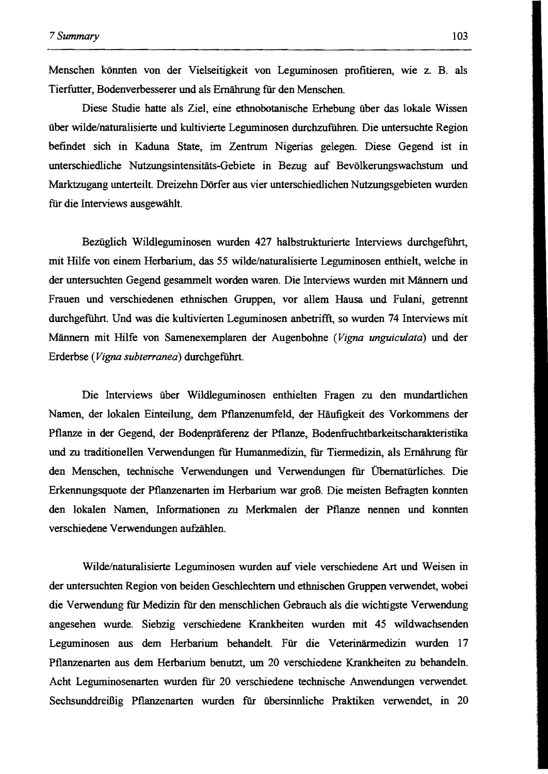Menschen könnten von der Vielseitigkeit von Leguminosen profitieren, wie z. B. als Tierfutter, Bodenverbesserer und als Ernährung fiir den Menschen.

Diese Studie hatte als Ziel, eine ethnobotanische Erhebung über das lokale Wissen über wilde/naturalisierte und kultivierte Leguminosen durchzufiihren. Die untersuchte Region befindet sich in Kaduna State, im Zentrum Nigerias gelegen. Diese Gegend ist in unterschiedliche Nutzungsintensitäts-Gebiete in Bezug auf Bevölkerungswachstum und Marktzugang unterteilt. Dreizehn Dörfer aus vier unterschiedlichen Nutzungsgebieten wurden für die Interviews ausgewählt.

Bezüglich Wildleguminosen wurden 427 halbstrukturierte Interviews durchgeführt, mit Hilfe von einem Herbarium, das 55 wilde/naturalisierte Leguminosen enthielt, welche in der untersuchten Gegend gesammelt worden waren. Die Interviews wurden mit Männern und Frauen und verschiedenen ethnischen Gruppen, vor allem Hausa und Fulani, getrennt durchgeführt. Und was die kultivierten Leguminosen anbetrifft, so wurden 74 Interviews mit Männern mit Hilfe von Samenexemplaren der Augenbohne *(Vigna unguiculata)* und der Erderbse *(Vigna subterranea)* durchgeführt.

Die Interviews über Wildleguminosen enthielten Fragen zu den mundartlichen Namen, der lokalen Einteilung, dem Pflanzenumfeld, der Häufigkeit des Vorkommens der Pflanze in der Gegend, der Bodenpräferenz der Pflanze, Bodenfruchtbarkeitscharakteristika und zu traditionellen Verwendungen für Humanmedizin, fiir Tiermedizin, als Ernährung fiir den Menschen, technische Verwendungen und Verwendungen fiir Übernatürliches. Die Erkennungsquote der Pflanzenarten im Herbarium war groß. Die meisten Befragten konnten den lokalen Namen, Informationen zu Merkmalen der Pflanze nennen und konnten verschiedene Verwendungen aufzählen.

Wilde/naturalisierte Leguminosen wurden auf viele verschiedene Art und Weisen in der untersuchten Region von beiden Geschlechtern und ethnischen Gruppen verwendet, wobei die Verwendung für Medizin für den menschlichen Gebrauch als die wichtigste Verwendung angesehen wurde. Siebzig verschiedene Krankheiten wurden mit 45 wildwachsenden Leguminosen aus dem Herbarium behandelt. Für die Veterinärmedizin wurden 17 Pflanzenarten aus dem Herbarium benutzt, um 20 verschiedene Krankheiten zu behandeln. Acht Leguminosenarten wurden fiir 20 verschiedene technische Anwendungen verwendet Sechsunddreißig Pflanzenarten wurden für übersinnliche Praktiken verwendet, in 20